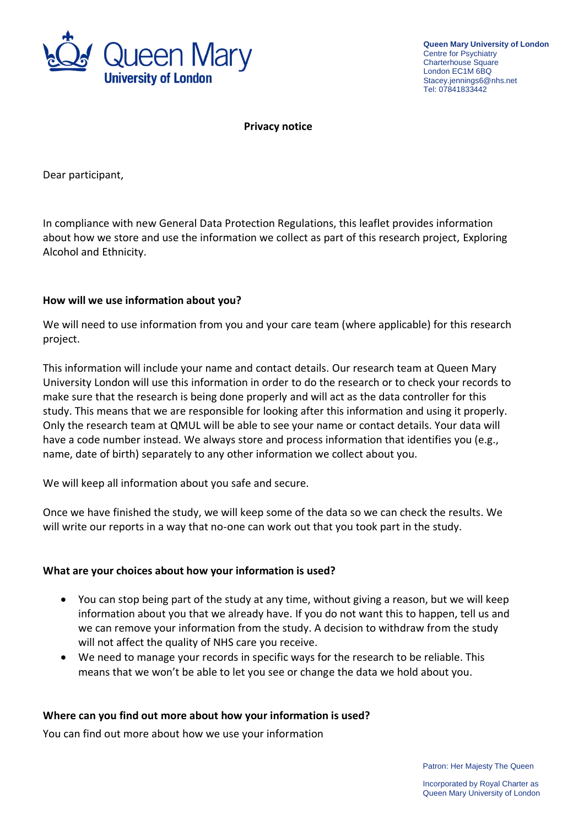

**Queen Mary University of London** Centre for Psychiatry Charterhouse Square London EC1M 6BQ Stacey.jennings6@nhs.net Tel: 07841833442

**Privacy notice**

Dear participant,

In compliance with new General Data Protection Regulations, this leaflet provides information about how we store and use the information we collect as part of this research project, Exploring Alcohol and Ethnicity.

## **How will we use information about you?**

We will need to use information from you and your care team (where applicable) for this research project.

This information will include your name and contact details. Our research team at Queen Mary University London will use this information in order to do the research or to check your records to make sure that the research is being done properly and will act as the data controller for this study. This means that we are responsible for looking after this information and using it properly. Only the research team at QMUL will be able to see your name or contact details. Your data will have a code number instead. We always store and process information that identifies you (e.g., name, date of birth) separately to any other information we collect about you.

We will keep all information about you safe and secure.

Once we have finished the study, we will keep some of the data so we can check the results. We will write our reports in a way that no-one can work out that you took part in the study.

## **What are your choices about how your information is used?**

- You can stop being part of the study at any time, without giving a reason, but we will keep information about you that we already have. If you do not want this to happen, tell us and we can remove your information from the study. A decision to withdraw from the study will not affect the quality of NHS care you receive.
- We need to manage your records in specific ways for the research to be reliable. This means that we won't be able to let you see or change the data we hold about you.

## **Where can you find out more about how your information is used?**

You can find out more about how we use your information

Patron: Her Majesty The Queen